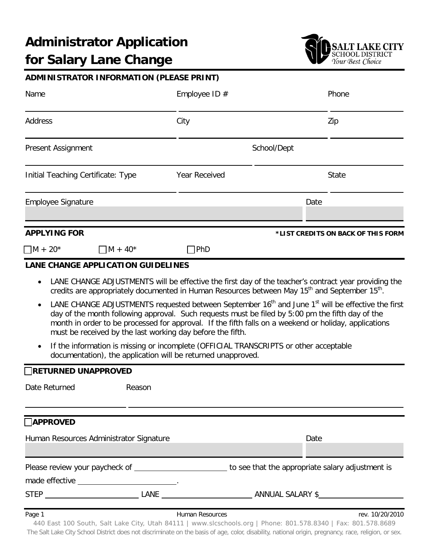

## **ADMINISTRATOR INFORMATION (PLEASE PRINT)**

| Name                                         | Employee ID $#$                                                                                                                                                | Phone                                                                                                                                                                                                                              |
|----------------------------------------------|----------------------------------------------------------------------------------------------------------------------------------------------------------------|------------------------------------------------------------------------------------------------------------------------------------------------------------------------------------------------------------------------------------|
| Address                                      | City                                                                                                                                                           | Zip                                                                                                                                                                                                                                |
| Present Assignment                           |                                                                                                                                                                | School/Dept                                                                                                                                                                                                                        |
| Initial Teaching Certificate: Type           | Year Received                                                                                                                                                  | <b>State</b>                                                                                                                                                                                                                       |
| <b>Employee Signature</b>                    |                                                                                                                                                                | Date                                                                                                                                                                                                                               |
| <b>APPLYING FOR</b>                          |                                                                                                                                                                | *LIST CREDITS ON BACK OF THIS FORM                                                                                                                                                                                                 |
| $\Box$ M + 20*<br>$\Box$ M + 40 <sup>*</sup> | 7PhD                                                                                                                                                           |                                                                                                                                                                                                                                    |
| <b>LANE CHANGE APPLICATION GUIDELINES</b>    |                                                                                                                                                                |                                                                                                                                                                                                                                    |
|                                              | credits are appropriately documented in Human Resources between May 15 <sup>th</sup> and September 15 <sup>th</sup> .                                          | LANE CHANGE ADJUSTMENTS will be effective the first day of the teacher's contract year providing the                                                                                                                               |
|                                              | day of the month following approval. Such requests must be filed by 5:00 pm the fifth day of the<br>must be received by the last working day before the fifth. | LANE CHANGE ADJUSTMENTS requested between September 16 <sup>th</sup> and June 1 <sup>st</sup> will be effective the first<br>month in order to be processed for approval. If the fifth falls on a weekend or holiday, applications |
|                                              | If the information is missing or incomplete (OFFICIAL TRANSCRIPTS or other acceptable<br>documentation), the application will be returned unapproved.          |                                                                                                                                                                                                                                    |
| <b>RETURNED UNAPPROVED</b>                   |                                                                                                                                                                |                                                                                                                                                                                                                                    |
| Date Returned<br>Reason                      |                                                                                                                                                                |                                                                                                                                                                                                                                    |
| <b>APPROVED</b>                              |                                                                                                                                                                |                                                                                                                                                                                                                                    |
| Human Resources Administrator Signature      |                                                                                                                                                                | Date                                                                                                                                                                                                                               |

| Please review your paycheck of | to see that the appropriate salary adjustment is |
|--------------------------------|--------------------------------------------------|
| made effective                 |                                                  |

STEP LANE ANNUAL SALARY \$

440 East 100 South, Salt Lake City, Utah 84111 | www.slcschools.org | Phone: 801.578.8340 | Fax: 801.578.8689 The Salt Lake City School District does not discriminate on the basis of age, color, disability, national origin, pregnancy, race, religion, or sex.